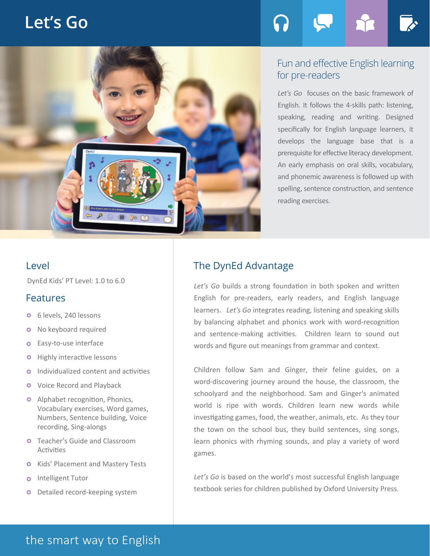# **Let's Go**



### Fun and effective English learning for pre-readers

*Let's Go* focuses on the basic framework of English. It follows the 4-skills path: listening, speaking, reading and writing. Designed specifically for English language learners, it develops the language base that is a prerequisite for effective literacy development. An early emphasis on oral skills, vocabulary, and phonemic awareness is followed up with spelling, sentence construction, and sentence reading exercises.

DynEd Kids' PT Level: 1.0 to 6.0

### Features

- 6 levels, 240 lessons  $\bullet$
- No keyboard required  $\bullet$
- Easy-to-use interface  $\circ$
- Highly interactive lessons  $\bullet$
- Individualized content and activities  $\circ$
- **O** Voice Record and Playback
- **o** Alphabet recognition, Phonics, Vocabulary exercises, Word games, Numbers, Sentence building, Voice recording, Sing-alongs
- **O** Teacher's Guide and Classroom Activities
- **o** Kids' Placement and Mastery Tests
- Intelligent Tutor  $\bullet$
- **o** Detailed record-keeping system

## Level **The DynEd Advantage**

*Let's Go* builds a strong foundation in both spoken and written English for pre-readers, early readers, and English language learners. *Let's Go* integrates reading, listening and speaking skills by balancing alphabet and phonics work with word-recognition and sentence-making activities. Children learn to sound out words and figure out meanings from grammar and context.

Children follow Sam and Ginger, their feline guides, on a word-discovering journey around the house, the classroom, the schoolyard and the neighborhood. Sam and Ginger's animated world is ripe with words. Children learn new words while investigating games, food, the weather, animals, etc. As they tour the town on the school bus, they build sentences, sing songs, learn phonics with rhyming sounds, and play a variety of word games.

Let's Go is based on the world's most successful English language textbook series for children published by Oxford University Press.

# the smart way to English